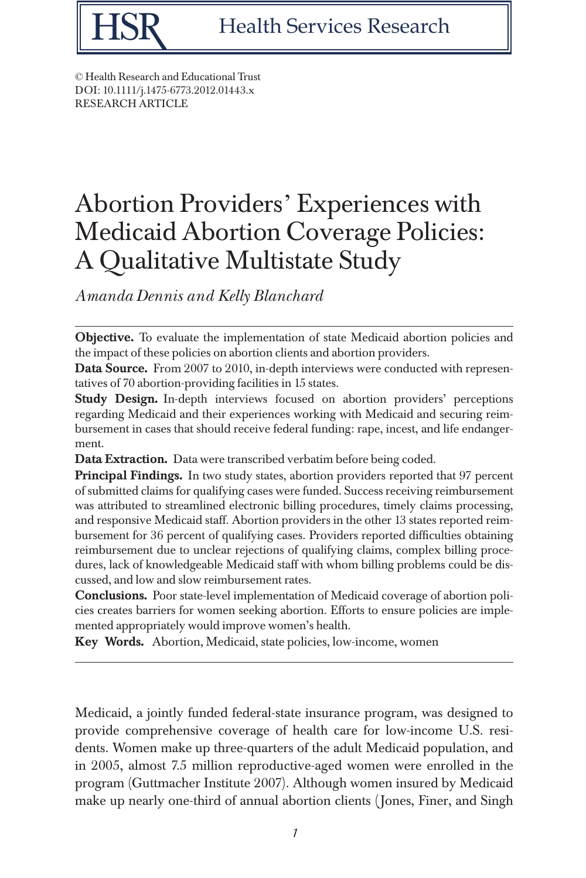# Health Services Research

© Health Research and Educational Trust DOI: 10.1111/j.1475-6773.2012.01443.x RESEARCH ARTICLE

# Abortion Providers' Experiences with Medicaid Abortion Coverage Policies: A Qualitative Multistate Study

Amanda Dennis and Kelly Blanchard

Objective. To evaluate the implementation of state Medicaid abortion policies and the impact of these policies on abortion clients and abortion providers.

Data Source. From 2007 to 2010, in-depth interviews were conducted with representatives of 70 abortion-providing facilities in 15 states.

Study Design. In-depth interviews focused on abortion providers' perceptions regarding Medicaid and their experiences working with Medicaid and securing reimbursement in cases that should receive federal funding: rape, incest, and life endangerment.

Data Extraction. Data were transcribed verbatim before being coded.

Principal Findings. In two study states, abortion providers reported that 97 percent of submitted claims for qualifying cases were funded. Success receiving reimbursement was attributed to streamlined electronic billing procedures, timely claims processing, and responsive Medicaid staff. Abortion providers in the other 13 states reported reimbursement for 36 percent of qualifying cases. Providers reported difficulties obtaining reimbursement due to unclear rejections of qualifying claims, complex billing procedures, lack of knowledgeable Medicaid staff with whom billing problems could be discussed, and low and slow reimbursement rates.

Conclusions. Poor state-level implementation of Medicaid coverage of abortion policies creates barriers for women seeking abortion. Efforts to ensure policies are implemented appropriately would improve women's health.

Key Words. Abortion, Medicaid, state policies, low-income, women

Medicaid, a jointly funded federal-state insurance program, was designed to provide comprehensive coverage of health care for low-income U.S. residents. Women make up three-quarters of the adult Medicaid population, and in 2005, almost 7.5 million reproductive-aged women were enrolled in the program (Guttmacher Institute 2007). Although women insured by Medicaid make up nearly one-third of annual abortion clients ( Jones, Finer, and Singh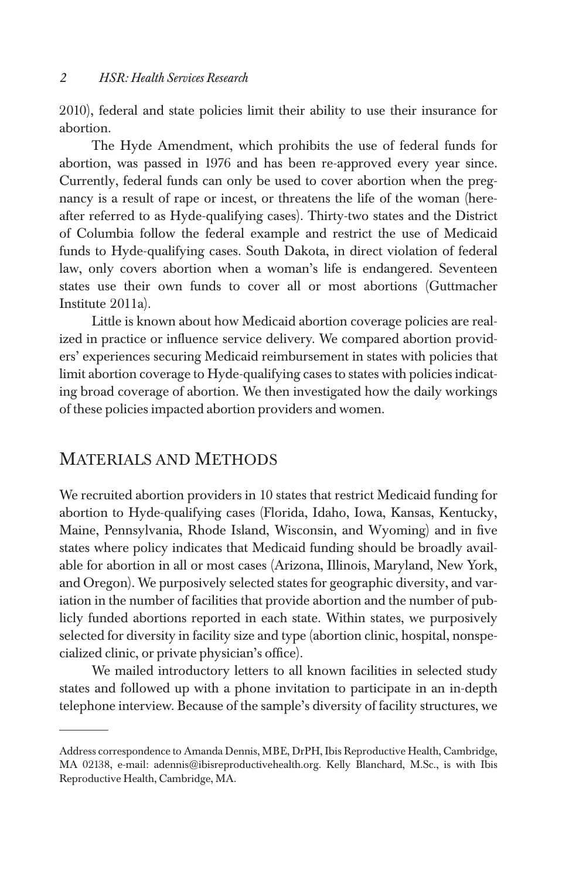2010), federal and state policies limit their ability to use their insurance for abortion.

The Hyde Amendment, which prohibits the use of federal funds for abortion, was passed in 1976 and has been re-approved every year since. Currently, federal funds can only be used to cover abortion when the pregnancy is a result of rape or incest, or threatens the life of the woman (hereafter referred to as Hyde-qualifying cases). Thirty-two states and the District of Columbia follow the federal example and restrict the use of Medicaid funds to Hyde-qualifying cases. South Dakota, in direct violation of federal law, only covers abortion when a woman's life is endangered. Seventeen states use their own funds to cover all or most abortions (Guttmacher Institute 2011a).

Little is known about how Medicaid abortion coverage policies are realized in practice or influence service delivery. We compared abortion providers' experiences securing Medicaid reimbursement in states with policies that limit abortion coverage to Hyde-qualifying cases to states with policies indicating broad coverage of abortion. We then investigated how the daily workings of these policies impacted abortion providers and women.

# MATERIALS AND METHODS

We recruited abortion providers in 10 states that restrict Medicaid funding for abortion to Hyde-qualifying cases (Florida, Idaho, Iowa, Kansas, Kentucky, Maine, Pennsylvania, Rhode Island, Wisconsin, and Wyoming) and in five states where policy indicates that Medicaid funding should be broadly available for abortion in all or most cases (Arizona, Illinois, Maryland, New York, and Oregon). We purposively selected states for geographic diversity, and variation in the number of facilities that provide abortion and the number of publicly funded abortions reported in each state. Within states, we purposively selected for diversity in facility size and type (abortion clinic, hospital, nonspecialized clinic, or private physician's office).

We mailed introductory letters to all known facilities in selected study states and followed up with a phone invitation to participate in an in-depth telephone interview. Because of the sample's diversity of facility structures, we

Address correspondence to Amanda Dennis, MBE, DrPH, Ibis Reproductive Health, Cambridge, MA 02138, e-mail: adennis@ibisreproductivehealth.org. Kelly Blanchard, M.Sc., is with Ibis Reproductive Health, Cambridge, MA.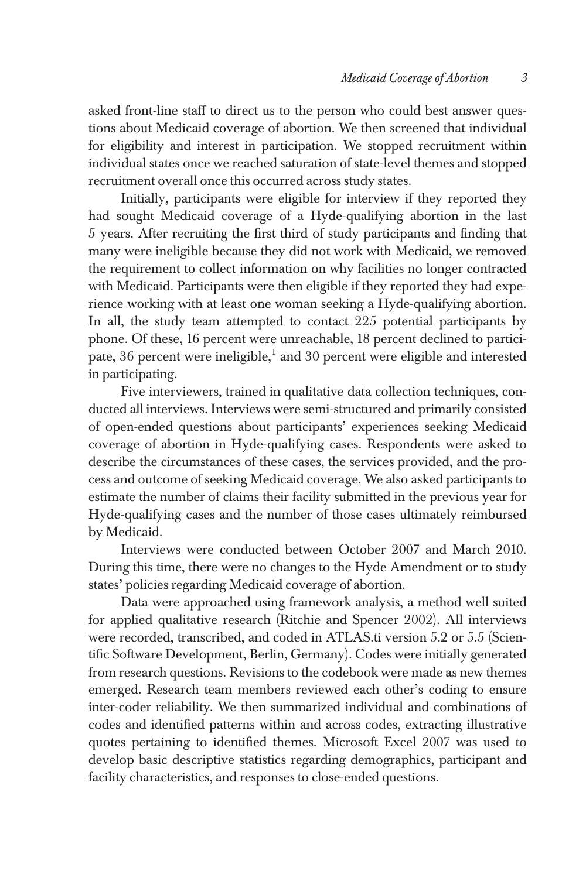asked front-line staff to direct us to the person who could best answer questions about Medicaid coverage of abortion. We then screened that individual for eligibility and interest in participation. We stopped recruitment within individual states once we reached saturation of state-level themes and stopped recruitment overall once this occurred across study states.

Initially, participants were eligible for interview if they reported they had sought Medicaid coverage of a Hyde-qualifying abortion in the last 5 years. After recruiting the first third of study participants and finding that many were ineligible because they did not work with Medicaid, we removed the requirement to collect information on why facilities no longer contracted with Medicaid. Participants were then eligible if they reported they had experience working with at least one woman seeking a Hyde-qualifying abortion. In all, the study team attempted to contact 225 potential participants by phone. Of these, 16 percent were unreachable, 18 percent declined to participate,  $36$  percent were ineligible,<sup>1</sup> and  $30$  percent were eligible and interested in participating.

Five interviewers, trained in qualitative data collection techniques, conducted all interviews. Interviews were semi-structured and primarily consisted of open-ended questions about participants' experiences seeking Medicaid coverage of abortion in Hyde-qualifying cases. Respondents were asked to describe the circumstances of these cases, the services provided, and the process and outcome of seeking Medicaid coverage. We also asked participants to estimate the number of claims their facility submitted in the previous year for Hyde-qualifying cases and the number of those cases ultimately reimbursed by Medicaid.

Interviews were conducted between October 2007 and March 2010. During this time, there were no changes to the Hyde Amendment or to study states' policies regarding Medicaid coverage of abortion.

Data were approached using framework analysis, a method well suited for applied qualitative research (Ritchie and Spencer 2002). All interviews were recorded, transcribed, and coded in ATLAS.ti version 5.2 or 5.5 (Scientific Software Development, Berlin, Germany). Codes were initially generated from research questions. Revisions to the codebook were made as new themes emerged. Research team members reviewed each other's coding to ensure inter-coder reliability. We then summarized individual and combinations of codes and identified patterns within and across codes, extracting illustrative quotes pertaining to identified themes. Microsoft Excel 2007 was used to develop basic descriptive statistics regarding demographics, participant and facility characteristics, and responses to close-ended questions.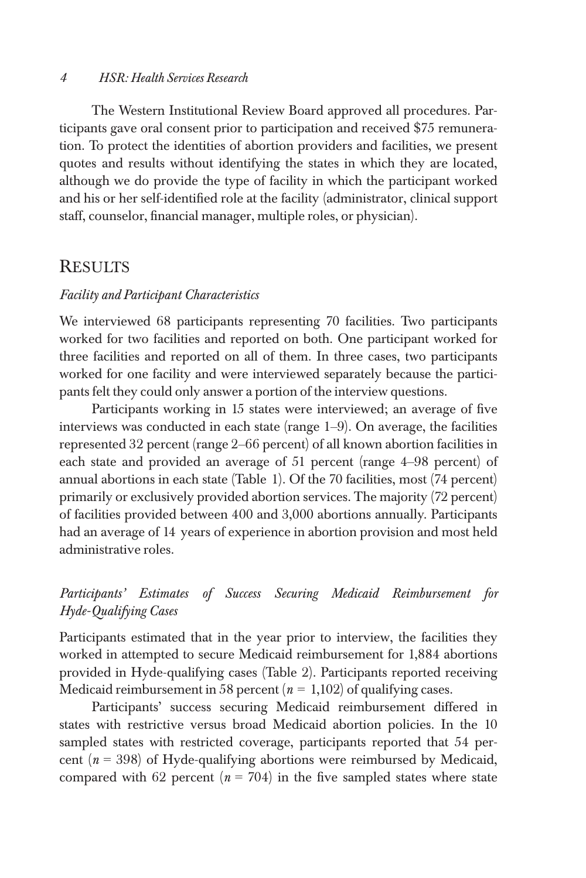#### 4 HSR: Health Services Research

The Western Institutional Review Board approved all procedures. Participants gave oral consent prior to participation and received \$75 remuneration. To protect the identities of abortion providers and facilities, we present quotes and results without identifying the states in which they are located, although we do provide the type of facility in which the participant worked and his or her self-identified role at the facility (administrator, clinical support staff, counselor, financial manager, multiple roles, or physician).

# **RESULTS**

#### Facility and Participant Characteristics

We interviewed 68 participants representing 70 facilities. Two participants worked for two facilities and reported on both. One participant worked for three facilities and reported on all of them. In three cases, two participants worked for one facility and were interviewed separately because the participants felt they could only answer a portion of the interview questions.

Participants working in 15 states were interviewed; an average of five interviews was conducted in each state (range 1–9). On average, the facilities represented 32 percent (range 2–66 percent) of all known abortion facilities in each state and provided an average of 51 percent (range 4–98 percent) of annual abortions in each state (Table 1). Of the 70 facilities, most (74 percent) primarily or exclusively provided abortion services. The majority (72 percent) of facilities provided between 400 and 3,000 abortions annually. Participants had an average of 14 years of experience in abortion provision and most held administrative roles.

### Participants' Estimates of Success Securing Medicaid Reimbursement for Hyde-Qualifying Cases

Participants estimated that in the year prior to interview, the facilities they worked in attempted to secure Medicaid reimbursement for 1,884 abortions provided in Hyde-qualifying cases (Table 2). Participants reported receiving Medicaid reimbursement in 58 percent ( $n = 1,102$ ) of qualifying cases.

Participants' success securing Medicaid reimbursement differed in states with restrictive versus broad Medicaid abortion policies. In the 10 sampled states with restricted coverage, participants reported that 54 percent ( $n = 398$ ) of Hyde-qualifying abortions were reimbursed by Medicaid, compared with 62 percent ( $n = 704$ ) in the five sampled states where state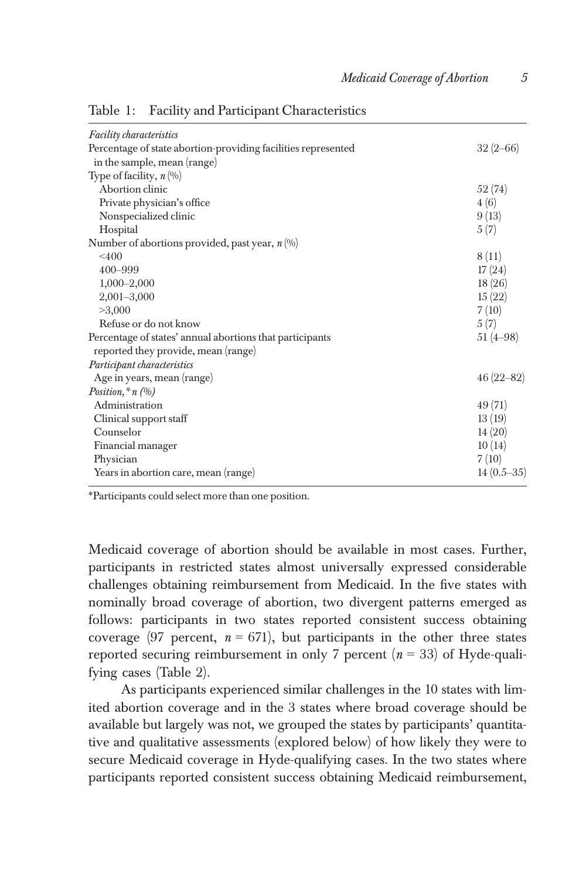| <b>Facility characteristics</b>                               |               |
|---------------------------------------------------------------|---------------|
| Percentage of state abortion-providing facilities represented | $32(2-66)$    |
| in the sample, mean (range)                                   |               |
| Type of facility, $n(\%)$                                     |               |
| Abortion clinic                                               | 52(74)        |
| Private physician's office                                    | 4(6)          |
| Nonspecialized clinic                                         | 9(13)         |
| Hospital                                                      | 5(7)          |
| Number of abortions provided, past year, $n(\%)$              |               |
| < 400                                                         | 8(11)         |
| 400-999                                                       | 17(24)        |
| $1,000 - 2,000$                                               | 18(26)        |
| $2,001 - 3,000$                                               | 15(22)        |
| >3,000                                                        | 7(10)         |
| Refuse or do not know                                         | 5(7)          |
| Percentage of states' annual abortions that participants      | $51(4-98)$    |
| reported they provide, mean (range)                           |               |
| Participant characteristics                                   |               |
| Age in years, mean (range)                                    | $46(22 - 82)$ |
| Position, $n(\%)$                                             |               |
| Administration                                                | 49(71)        |
| Clinical support staff                                        | 13(19)        |
| Counselor                                                     | 14(20)        |
| Financial manager                                             | 10(14)        |
| Physician                                                     | 7(10)         |
| Years in abortion care, mean (range)                          | $14(0.5-35)$  |

Table 1: Facility and Participant Characteristics

\*Participants could select more than one position.

Medicaid coverage of abortion should be available in most cases. Further, participants in restricted states almost universally expressed considerable challenges obtaining reimbursement from Medicaid. In the five states with nominally broad coverage of abortion, two divergent patterns emerged as follows: participants in two states reported consistent success obtaining coverage (97 percent,  $n = 671$ ), but participants in the other three states reported securing reimbursement in only 7 percent ( $n = 33$ ) of Hyde-qualifying cases (Table 2).

As participants experienced similar challenges in the 10 states with limited abortion coverage and in the 3 states where broad coverage should be available but largely was not, we grouped the states by participants' quantitative and qualitative assessments (explored below) of how likely they were to secure Medicaid coverage in Hyde-qualifying cases. In the two states where participants reported consistent success obtaining Medicaid reimbursement,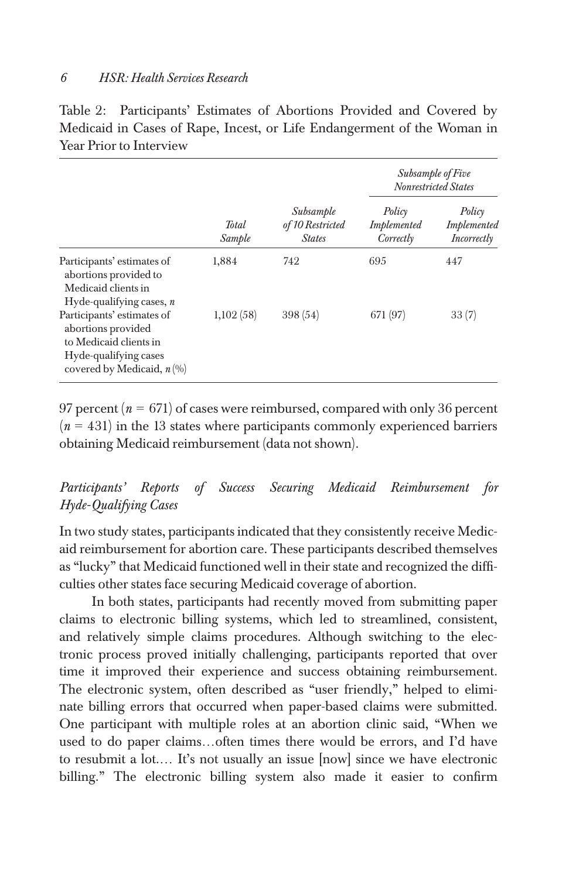#### 6 HSR: Health Services Research

|                                                                                                                                                          | <b>Total</b><br>Sample | Subsample<br>of 10 Restricted<br><b>States</b> | Subsample of Five<br>Nonrestricted States |                                      |
|----------------------------------------------------------------------------------------------------------------------------------------------------------|------------------------|------------------------------------------------|-------------------------------------------|--------------------------------------|
|                                                                                                                                                          |                        |                                                | Policy<br>Implemented<br>Correctly        | Policy<br>Implemented<br>Incorrectly |
| Participants' estimates of<br>abortions provided to<br>Medicaid clients in<br>Hyde-qualifying cases, $n$                                                 | 1,884                  | 742                                            | 695                                       | 447                                  |
| Participants' estimates of<br>abortions provided<br>to Medicaid clients in<br>Hyde-qualifying cases<br>covered by Medicaid, $n \left(\frac{0}{0}\right)$ | 1,102(58)              | 398(54)                                        | 671(97)                                   | 33(7)                                |

Table 2: Participants' Estimates of Abortions Provided and Covered by Medicaid in Cases of Rape, Incest, or Life Endangerment of the Woman in Year Prior to Interview

97 percent ( $n = 671$ ) of cases were reimbursed, compared with only 36 percent  $(n = 431)$  in the 13 states where participants commonly experienced barriers obtaining Medicaid reimbursement (data not shown).

# Participants' Reports of Success Securing Medicaid Reimbursement for Hyde-Qualifying Cases

In two study states, participants indicated that they consistently receive Medicaid reimbursement for abortion care. These participants described themselves as "lucky" that Medicaid functioned well in their state and recognized the difficulties other states face securing Medicaid coverage of abortion.

In both states, participants had recently moved from submitting paper claims to electronic billing systems, which led to streamlined, consistent, and relatively simple claims procedures. Although switching to the electronic process proved initially challenging, participants reported that over time it improved their experience and success obtaining reimbursement. The electronic system, often described as "user friendly," helped to eliminate billing errors that occurred when paper-based claims were submitted. One participant with multiple roles at an abortion clinic said, "When we used to do paper claims…often times there would be errors, and I'd have to resubmit a lot.… It's not usually an issue [now] since we have electronic billing." The electronic billing system also made it easier to confirm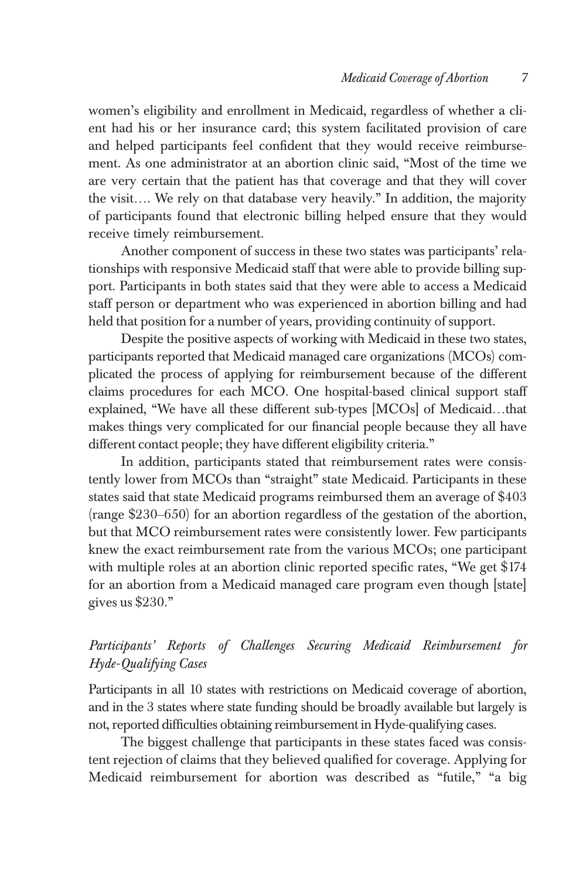women's eligibility and enrollment in Medicaid, regardless of whether a client had his or her insurance card; this system facilitated provision of care and helped participants feel confident that they would receive reimbursement. As one administrator at an abortion clinic said, "Most of the time we are very certain that the patient has that coverage and that they will cover the visit…. We rely on that database very heavily." In addition, the majority of participants found that electronic billing helped ensure that they would receive timely reimbursement.

Another component of success in these two states was participants' relationships with responsive Medicaid staff that were able to provide billing support. Participants in both states said that they were able to access a Medicaid staff person or department who was experienced in abortion billing and had held that position for a number of years, providing continuity of support.

Despite the positive aspects of working with Medicaid in these two states, participants reported that Medicaid managed care organizations (MCOs) complicated the process of applying for reimbursement because of the different claims procedures for each MCO. One hospital-based clinical support staff explained, "We have all these different sub-types [MCOs] of Medicaid…that makes things very complicated for our financial people because they all have different contact people; they have different eligibility criteria."

In addition, participants stated that reimbursement rates were consistently lower from MCOs than "straight" state Medicaid. Participants in these states said that state Medicaid programs reimbursed them an average of \$403 (range \$230–650) for an abortion regardless of the gestation of the abortion, but that MCO reimbursement rates were consistently lower. Few participants knew the exact reimbursement rate from the various MCOs; one participant with multiple roles at an abortion clinic reported specific rates, "We get \$174 for an abortion from a Medicaid managed care program even though [state] gives us \$230."

### Participants' Reports of Challenges Securing Medicaid Reimbursement for Hyde-Qualifying Cases

Participants in all 10 states with restrictions on Medicaid coverage of abortion, and in the 3 states where state funding should be broadly available but largely is not, reported difficulties obtaining reimbursement in Hyde-qualifying cases.

The biggest challenge that participants in these states faced was consistent rejection of claims that they believed qualified for coverage. Applying for Medicaid reimbursement for abortion was described as "futile," "a big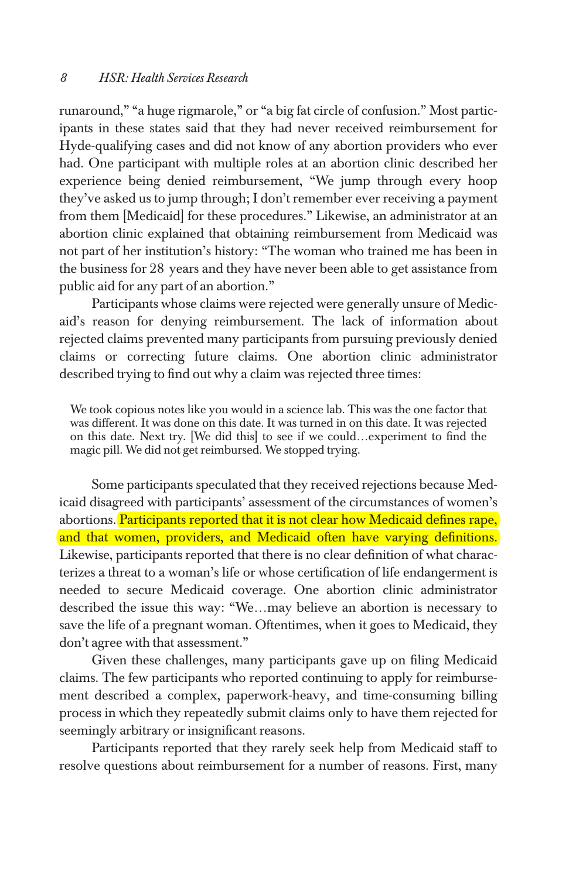runaround," "a huge rigmarole," or "a big fat circle of confusion." Most participants in these states said that they had never received reimbursement for Hyde-qualifying cases and did not know of any abortion providers who ever had. One participant with multiple roles at an abortion clinic described her experience being denied reimbursement, "We jump through every hoop they've asked us to jump through; I don't remember ever receiving a payment from them [Medicaid] for these procedures." Likewise, an administrator at an abortion clinic explained that obtaining reimbursement from Medicaid was not part of her institution's history: "The woman who trained me has been in the business for 28 years and they have never been able to get assistance from public aid for any part of an abortion."

Participants whose claims were rejected were generally unsure of Medicaid's reason for denying reimbursement. The lack of information about rejected claims prevented many participants from pursuing previously denied claims or correcting future claims. One abortion clinic administrator described trying to find out why a claim was rejected three times:

We took copious notes like you would in a science lab. This was the one factor that was different. It was done on this date. It was turned in on this date. It was rejected on this date. Next try. [We did this] to see if we could…experiment to find the magic pill. We did not get reimbursed. We stopped trying.

Some participants speculated that they received rejections because Medicaid disagreed with participants' assessment of the circumstances of women's abortions. Participants reported that it is not clear how Medicaid defines rape, and that women, providers, and Medicaid often have varying definitions. Likewise, participants reported that there is no clear definition of what characterizes a threat to a woman's life or whose certification of life endangerment is needed to secure Medicaid coverage. One abortion clinic administrator described the issue this way: "We…may believe an abortion is necessary to save the life of a pregnant woman. Oftentimes, when it goes to Medicaid, they don't agree with that assessment."

Given these challenges, many participants gave up on filing Medicaid claims. The few participants who reported continuing to apply for reimbursement described a complex, paperwork-heavy, and time-consuming billing process in which they repeatedly submit claims only to have them rejected for seemingly arbitrary or insignificant reasons.

Participants reported that they rarely seek help from Medicaid staff to resolve questions about reimbursement for a number of reasons. First, many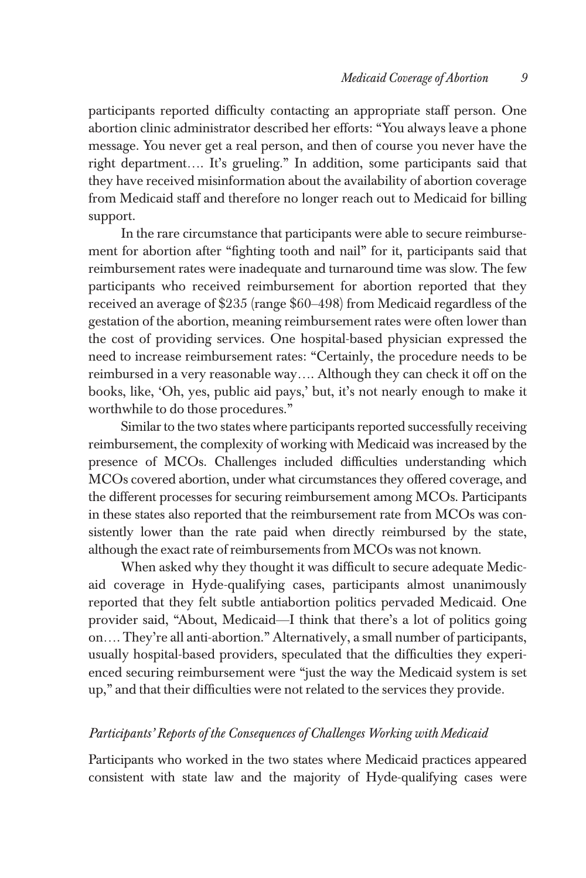participants reported difficulty contacting an appropriate staff person. One abortion clinic administrator described her efforts: "You always leave a phone message. You never get a real person, and then of course you never have the right department…. It's grueling." In addition, some participants said that they have received misinformation about the availability of abortion coverage from Medicaid staff and therefore no longer reach out to Medicaid for billing support.

In the rare circumstance that participants were able to secure reimbursement for abortion after "fighting tooth and nail" for it, participants said that reimbursement rates were inadequate and turnaround time was slow. The few participants who received reimbursement for abortion reported that they received an average of \$235 (range \$60–498) from Medicaid regardless of the gestation of the abortion, meaning reimbursement rates were often lower than the cost of providing services. One hospital-based physician expressed the need to increase reimbursement rates: "Certainly, the procedure needs to be reimbursed in a very reasonable way…. Although they can check it off on the books, like, 'Oh, yes, public aid pays,' but, it's not nearly enough to make it worthwhile to do those procedures."

Similar to the two states where participants reported successfully receiving reimbursement, the complexity of working with Medicaid was increased by the presence of MCOs. Challenges included difficulties understanding which MCOs covered abortion, under what circumstances they offered coverage, and the different processes for securing reimbursement among MCOs. Participants in these states also reported that the reimbursement rate from MCOs was consistently lower than the rate paid when directly reimbursed by the state, although the exact rate of reimbursements from MCOs was not known.

When asked why they thought it was difficult to secure adequate Medicaid coverage in Hyde-qualifying cases, participants almost unanimously reported that they felt subtle antiabortion politics pervaded Medicaid. One provider said, "About, Medicaid—I think that there's a lot of politics going on…. They're all anti-abortion." Alternatively, a small number of participants, usually hospital-based providers, speculated that the difficulties they experienced securing reimbursement were "just the way the Medicaid system is set up," and that their difficulties were not related to the services they provide.

#### Participants' Reports of the Consequences of Challenges Working with Medicaid

Participants who worked in the two states where Medicaid practices appeared consistent with state law and the majority of Hyde-qualifying cases were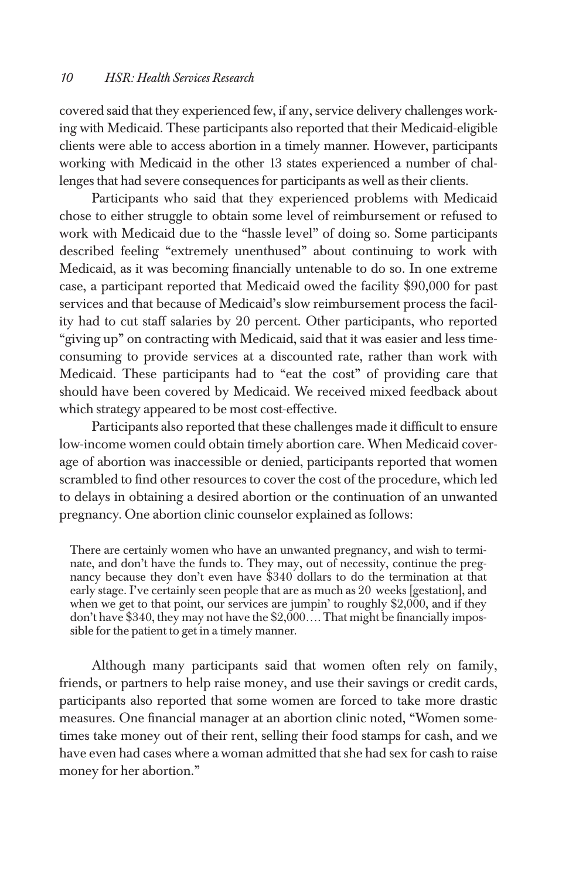covered said that they experienced few, if any, service delivery challenges working with Medicaid. These participants also reported that their Medicaid-eligible clients were able to access abortion in a timely manner. However, participants working with Medicaid in the other 13 states experienced a number of challenges that had severe consequences for participants as well as their clients.

Participants who said that they experienced problems with Medicaid chose to either struggle to obtain some level of reimbursement or refused to work with Medicaid due to the "hassle level" of doing so. Some participants described feeling "extremely unenthused" about continuing to work with Medicaid, as it was becoming financially untenable to do so. In one extreme case, a participant reported that Medicaid owed the facility \$90,000 for past services and that because of Medicaid's slow reimbursement process the facility had to cut staff salaries by 20 percent. Other participants, who reported "giving up" on contracting with Medicaid, said that it was easier and less timeconsuming to provide services at a discounted rate, rather than work with Medicaid. These participants had to "eat the cost" of providing care that should have been covered by Medicaid. We received mixed feedback about which strategy appeared to be most cost-effective.

Participants also reported that these challenges made it difficult to ensure low-income women could obtain timely abortion care. When Medicaid coverage of abortion was inaccessible or denied, participants reported that women scrambled to find other resources to cover the cost of the procedure, which led to delays in obtaining a desired abortion or the continuation of an unwanted pregnancy. One abortion clinic counselor explained as follows:

There are certainly women who have an unwanted pregnancy, and wish to terminate, and don't have the funds to. They may, out of necessity, continue the pregnancy because they don't even have \$340 dollars to do the termination at that early stage. I've certainly seen people that are as much as 20 weeks [gestation], and when we get to that point, our services are jumpin' to roughly \$2,000, and if they don't have \$340, they may not have the  $$2,000...$ . That might be financially impossible for the patient to get in a timely manner.

Although many participants said that women often rely on family, friends, or partners to help raise money, and use their savings or credit cards, participants also reported that some women are forced to take more drastic measures. One financial manager at an abortion clinic noted, "Women sometimes take money out of their rent, selling their food stamps for cash, and we have even had cases where a woman admitted that she had sex for cash to raise money for her abortion."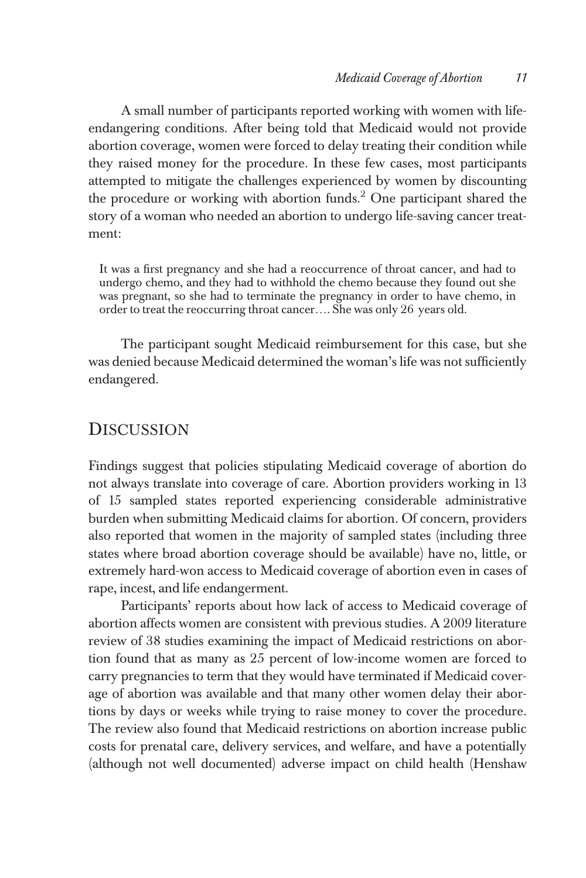A small number of participants reported working with women with lifeendangering conditions. After being told that Medicaid would not provide abortion coverage, women were forced to delay treating their condition while they raised money for the procedure. In these few cases, most participants attempted to mitigate the challenges experienced by women by discounting the procedure or working with abortion funds.<sup>2</sup> One participant shared the story of a woman who needed an abortion to undergo life-saving cancer treatment:

It was a first pregnancy and she had a reoccurrence of throat cancer, and had to undergo chemo, and they had to withhold the chemo because they found out she was pregnant, so she had to terminate the pregnancy in order to have chemo, in order to treat the reoccurring throat cancer…. She was only 26 years old.

The participant sought Medicaid reimbursement for this case, but she was denied because Medicaid determined the woman's life was not sufficiently endangered.

# **DISCUSSION**

Findings suggest that policies stipulating Medicaid coverage of abortion do not always translate into coverage of care. Abortion providers working in 13 of 15 sampled states reported experiencing considerable administrative burden when submitting Medicaid claims for abortion. Of concern, providers also reported that women in the majority of sampled states (including three states where broad abortion coverage should be available) have no, little, or extremely hard-won access to Medicaid coverage of abortion even in cases of rape, incest, and life endangerment.

Participants' reports about how lack of access to Medicaid coverage of abortion affects women are consistent with previous studies. A 2009 literature review of 38 studies examining the impact of Medicaid restrictions on abortion found that as many as 25 percent of low-income women are forced to carry pregnancies to term that they would have terminated if Medicaid coverage of abortion was available and that many other women delay their abortions by days or weeks while trying to raise money to cover the procedure. The review also found that Medicaid restrictions on abortion increase public costs for prenatal care, delivery services, and welfare, and have a potentially (although not well documented) adverse impact on child health (Henshaw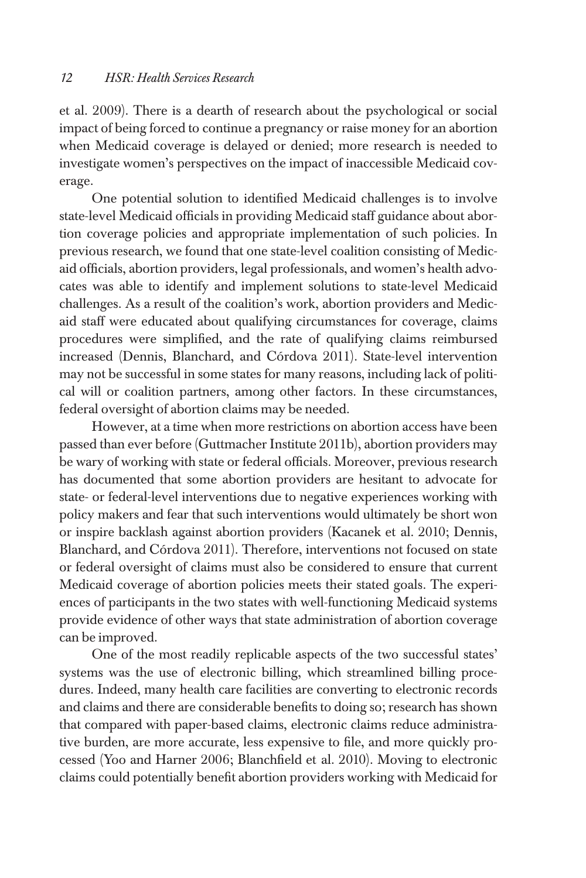et al. 2009). There is a dearth of research about the psychological or social impact of being forced to continue a pregnancy or raise money for an abortion when Medicaid coverage is delayed or denied; more research is needed to investigate women's perspectives on the impact of inaccessible Medicaid coverage.

One potential solution to identified Medicaid challenges is to involve state-level Medicaid officials in providing Medicaid staff guidance about abortion coverage policies and appropriate implementation of such policies. In previous research, we found that one state-level coalition consisting of Medicaid officials, abortion providers, legal professionals, and women's health advocates was able to identify and implement solutions to state-level Medicaid challenges. As a result of the coalition's work, abortion providers and Medicaid staff were educated about qualifying circumstances for coverage, claims procedures were simplified, and the rate of qualifying claims reimbursed increased (Dennis, Blanchard, and Córdova 2011). State-level intervention may not be successful in some states for many reasons, including lack of political will or coalition partners, among other factors. In these circumstances, federal oversight of abortion claims may be needed.

However, at a time when more restrictions on abortion access have been passed than ever before (Guttmacher Institute 2011b), abortion providers may be wary of working with state or federal officials. Moreover, previous research has documented that some abortion providers are hesitant to advocate for state- or federal-level interventions due to negative experiences working with policy makers and fear that such interventions would ultimately be short won or inspire backlash against abortion providers (Kacanek et al. 2010; Dennis, Blanchard, and Córdova 2011). Therefore, interventions not focused on state or federal oversight of claims must also be considered to ensure that current Medicaid coverage of abortion policies meets their stated goals. The experiences of participants in the two states with well-functioning Medicaid systems provide evidence of other ways that state administration of abortion coverage can be improved.

One of the most readily replicable aspects of the two successful states' systems was the use of electronic billing, which streamlined billing procedures. Indeed, many health care facilities are converting to electronic records and claims and there are considerable benefits to doing so; research has shown that compared with paper-based claims, electronic claims reduce administrative burden, are more accurate, less expensive to file, and more quickly processed (Yoo and Harner 2006; Blanchfield et al. 2010). Moving to electronic claims could potentially benefit abortion providers working with Medicaid for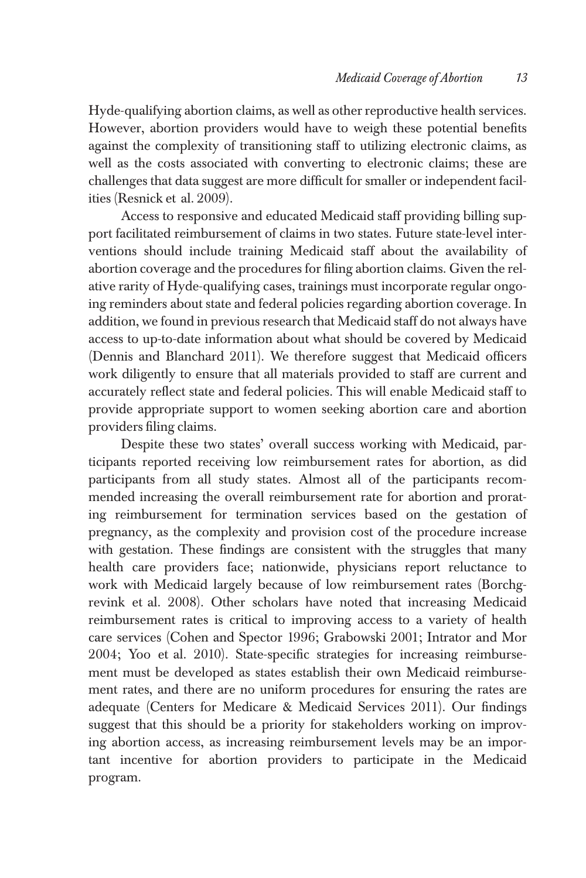Hyde-qualifying abortion claims, as well as other reproductive health services. However, abortion providers would have to weigh these potential benefits against the complexity of transitioning staff to utilizing electronic claims, as well as the costs associated with converting to electronic claims; these are challenges that data suggest are more difficult for smaller or independent facilities (Resnick et al. 2009).

Access to responsive and educated Medicaid staff providing billing support facilitated reimbursement of claims in two states. Future state-level interventions should include training Medicaid staff about the availability of abortion coverage and the procedures for filing abortion claims. Given the relative rarity of Hyde-qualifying cases, trainings must incorporate regular ongoing reminders about state and federal policies regarding abortion coverage. In addition, we found in previous research that Medicaid staff do not always have access to up-to-date information about what should be covered by Medicaid (Dennis and Blanchard 2011). We therefore suggest that Medicaid officers work diligently to ensure that all materials provided to staff are current and accurately reflect state and federal policies. This will enable Medicaid staff to provide appropriate support to women seeking abortion care and abortion providers filing claims.

Despite these two states' overall success working with Medicaid, participants reported receiving low reimbursement rates for abortion, as did participants from all study states. Almost all of the participants recommended increasing the overall reimbursement rate for abortion and prorating reimbursement for termination services based on the gestation of pregnancy, as the complexity and provision cost of the procedure increase with gestation. These findings are consistent with the struggles that many health care providers face; nationwide, physicians report reluctance to work with Medicaid largely because of low reimbursement rates (Borchgrevink et al. 2008). Other scholars have noted that increasing Medicaid reimbursement rates is critical to improving access to a variety of health care services (Cohen and Spector 1996; Grabowski 2001; Intrator and Mor 2004; Yoo et al. 2010). State-specific strategies for increasing reimbursement must be developed as states establish their own Medicaid reimbursement rates, and there are no uniform procedures for ensuring the rates are adequate (Centers for Medicare & Medicaid Services 2011). Our findings suggest that this should be a priority for stakeholders working on improving abortion access, as increasing reimbursement levels may be an important incentive for abortion providers to participate in the Medicaid program.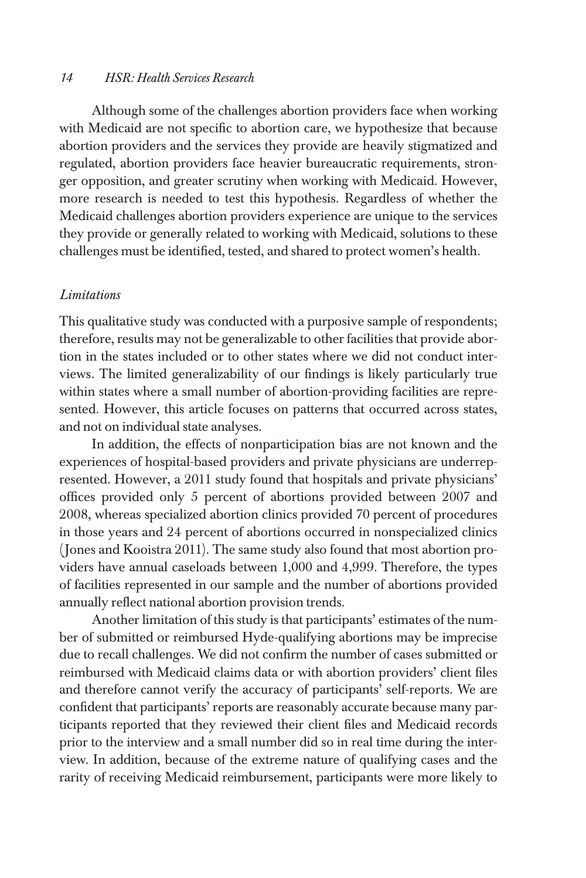#### 14 HSR: Health Services Research

Although some of the challenges abortion providers face when working with Medicaid are not specific to abortion care, we hypothesize that because abortion providers and the services they provide are heavily stigmatized and regulated, abortion providers face heavier bureaucratic requirements, stronger opposition, and greater scrutiny when working with Medicaid. However, more research is needed to test this hypothesis. Regardless of whether the Medicaid challenges abortion providers experience are unique to the services they provide or generally related to working with Medicaid, solutions to these challenges must be identified, tested, and shared to protect women's health.

#### Limitations

This qualitative study was conducted with a purposive sample of respondents; therefore, results may not be generalizable to other facilities that provide abortion in the states included or to other states where we did not conduct interviews. The limited generalizability of our findings is likely particularly true within states where a small number of abortion-providing facilities are represented. However, this article focuses on patterns that occurred across states, and not on individual state analyses.

In addition, the effects of nonparticipation bias are not known and the experiences of hospital-based providers and private physicians are underrepresented. However, a 2011 study found that hospitals and private physicians' offices provided only 5 percent of abortions provided between 2007 and 2008, whereas specialized abortion clinics provided 70 percent of procedures in those years and 24 percent of abortions occurred in nonspecialized clinics ( Jones and Kooistra 2011). The same study also found that most abortion providers have annual caseloads between 1,000 and 4,999. Therefore, the types of facilities represented in our sample and the number of abortions provided annually reflect national abortion provision trends.

Another limitation of this study is that participants' estimates of the number of submitted or reimbursed Hyde-qualifying abortions may be imprecise due to recall challenges. We did not confirm the number of cases submitted or reimbursed with Medicaid claims data or with abortion providers' client files and therefore cannot verify the accuracy of participants' self-reports. We are confident that participants' reports are reasonably accurate because many participants reported that they reviewed their client files and Medicaid records prior to the interview and a small number did so in real time during the interview. In addition, because of the extreme nature of qualifying cases and the rarity of receiving Medicaid reimbursement, participants were more likely to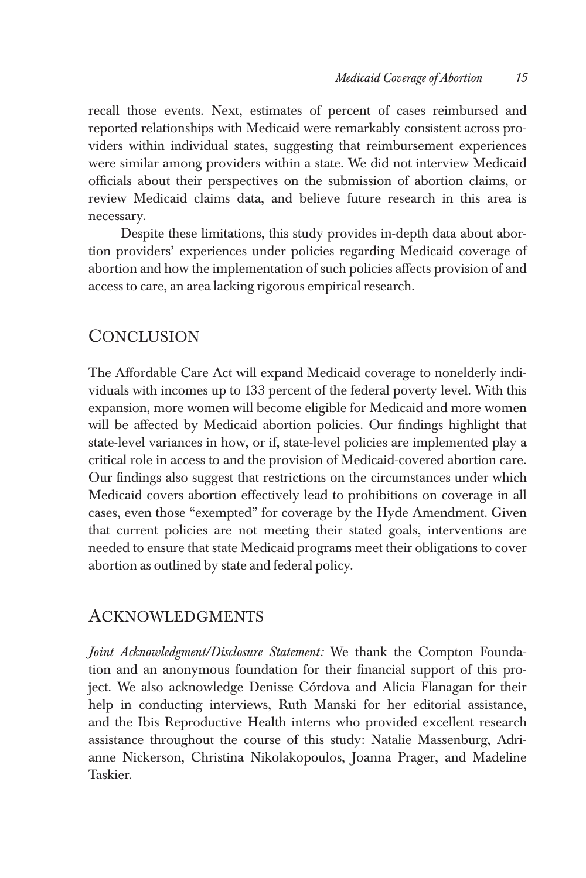recall those events. Next, estimates of percent of cases reimbursed and reported relationships with Medicaid were remarkably consistent across providers within individual states, suggesting that reimbursement experiences were similar among providers within a state. We did not interview Medicaid officials about their perspectives on the submission of abortion claims, or review Medicaid claims data, and believe future research in this area is necessary.

Despite these limitations, this study provides in-depth data about abortion providers' experiences under policies regarding Medicaid coverage of abortion and how the implementation of such policies affects provision of and access to care, an area lacking rigorous empirical research.

# **CONCLUSION**

The Affordable Care Act will expand Medicaid coverage to nonelderly individuals with incomes up to 133 percent of the federal poverty level. With this expansion, more women will become eligible for Medicaid and more women will be affected by Medicaid abortion policies. Our findings highlight that state-level variances in how, or if, state-level policies are implemented play a critical role in access to and the provision of Medicaid-covered abortion care. Our findings also suggest that restrictions on the circumstances under which Medicaid covers abortion effectively lead to prohibitions on coverage in all cases, even those "exempted" for coverage by the Hyde Amendment. Given that current policies are not meeting their stated goals, interventions are needed to ensure that state Medicaid programs meet their obligations to cover abortion as outlined by state and federal policy.

# ACKNOWLEDGMENTS

Joint Acknowledgment/Disclosure Statement: We thank the Compton Foundation and an anonymous foundation for their financial support of this project. We also acknowledge Denisse Córdova and Alicia Flanagan for their help in conducting interviews, Ruth Manski for her editorial assistance, and the Ibis Reproductive Health interns who provided excellent research assistance throughout the course of this study: Natalie Massenburg, Adrianne Nickerson, Christina Nikolakopoulos, Joanna Prager, and Madeline Taskier.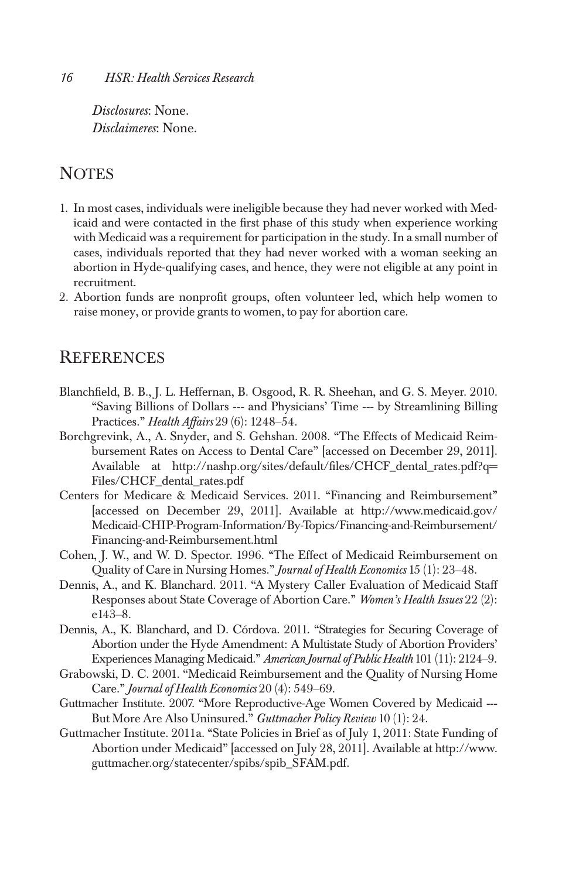Disclosures: None. Disclaimeres: None.

# **NOTES**

- 1. In most cases, individuals were ineligible because they had never worked with Medicaid and were contacted in the first phase of this study when experience working with Medicaid was a requirement for participation in the study. In a small number of cases, individuals reported that they had never worked with a woman seeking an abortion in Hyde-qualifying cases, and hence, they were not eligible at any point in recruitment.
- 2. Abortion funds are nonprofit groups, often volunteer led, which help women to raise money, or provide grants to women, to pay for abortion care.

# **REFERENCES**

- Blanchfield, B. B., J. L. Heffernan, B. Osgood, R. R. Sheehan, and G. S. Meyer. 2010. "Saving Billions of Dollars --- and Physicians' Time --- by Streamlining Billing Practices." Health Affairs 29 (6): 1248–54.
- Borchgrevink, A., A. Snyder, and S. Gehshan. 2008. "The Effects of Medicaid Reimbursement Rates on Access to Dental Care" [accessed on December 29, 2011]. Available at http://nashp.org/sites/default/files/CHCF\_dental\_rates.pdf?q= Files/CHCF\_dental\_rates.pdf
- Centers for Medicare & Medicaid Services. 2011. "Financing and Reimbursement" [accessed on December 29, 2011]. Available at http://www.medicaid.gov/ Medicaid-CHIP-Program-Information/By-Topics/Financing-and-Reimbursement/ Financing-and-Reimbursement.html
- Cohen, J. W., and W. D. Spector. 1996. "The Effect of Medicaid Reimbursement on Quality of Care in Nursing Homes." Journal of Health Economics 15 (1): 23–48.
- Dennis, A., and K. Blanchard. 2011. "A Mystery Caller Evaluation of Medicaid Staff Responses about State Coverage of Abortion Care." Women's Health Issues 22 (2): e143–8.
- Dennis, A., K. Blanchard, and D. Córdova. 2011. "Strategies for Securing Coverage of Abortion under the Hyde Amendment: A Multistate Study of Abortion Providers' Experiences Managing Medicaid." American Journal of Public Health 101 (11): 2124–9.
- Grabowski, D. C. 2001. "Medicaid Reimbursement and the Quality of Nursing Home Care." Journal of Health Economics 20 (4): 549–69.
- Guttmacher Institute. 2007. "More Reproductive-Age Women Covered by Medicaid --- But More Are Also Uninsured." Guttmacher Policy Review 10 (1): 24.
- Guttmacher Institute. 2011a. "State Policies in Brief as of July 1, 2011: State Funding of Abortion under Medicaid" [accessed on July 28, 2011]. Available at http://www. guttmacher.org/statecenter/spibs/spib\_SFAM.pdf.